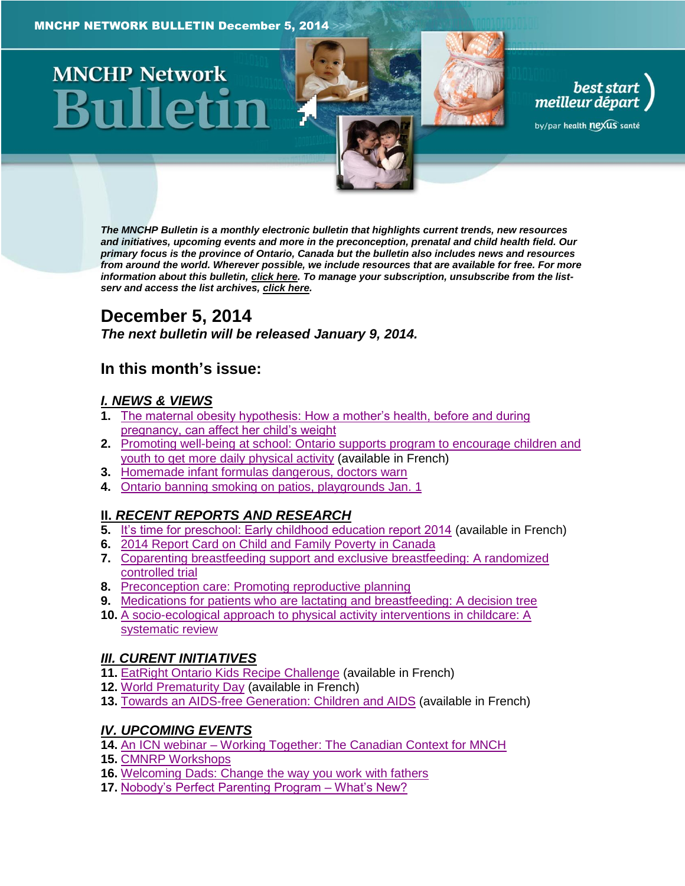# **MNCHP Network**

*The MNCHP Bulletin is a monthly electronic bulletin that highlights current trends, new resources and initiatives, upcoming events and more in the preconception, prenatal and child health field. Our primary focus is the province of Ontario, Canada but the bulletin also includes news and resources from around the world. Wherever possible, we include resources that are available for free. For more information about this bulletin[, click here.](#page-16-0) To manage your subscription, unsubscribe from the listserv and access the list archives, [click here.](http://beststart.org/services/information.html)* 

best start<br>meilleur départ

by/par health nexus santé

# **December 5, 2014**

*The next bulletin will be released January 9, 2014.*

# **In this month's issue:**

# *[I. NEWS & VIEWS](#page-1-0)*

- **1.** [The maternal obesity hypothesis: How a mother's health, before and during](#page-1-1)  [pregnancy, can affect her child's weight](#page-1-1)
- **2.** [Promoting well-being at school: Ontario supports program to encourage children and](#page-2-0)  [youth to get more daily physical activity](#page-2-0) (available in French)
- **3.** [Homemade infant formulas dangerous, doctors warn](#page-2-1)
- **4.** [Ontario banning smoking on patios, playgrounds Jan. 1](#page-2-2)

# **II.** *[RECENT REPORTS AND RESEARCH](#page-3-0)*

- **5.** [It's time for preschool: Early childhood education report 2014](#page-3-1) (available in French)
- **6.** [2014 Report Card on Child and Family](#page-4-0) Poverty in Canada
- **7.** [Coparenting breastfeeding support and exclusive breastfeeding: A randomized](#page-5-0)  [controlled trial](#page-5-0)
- **8.** [Preconception care: Promoting reproductive planning](#page-6-0)
- **9.** [Medications for patients who are lactating and breastfeeding: A decision tree](#page-7-0)
- **10.** [A socio-ecological approach to physical activity interventions in childcare: A](#page-8-0)  [systematic review](#page-8-0)

# *[III. CURENT INITIATIVES](#page-8-1)*

- **11.** [EatRight Ontario Kids Recipe Challenge](#page-8-2) (available in French)
- **12.** [World Prematurity Day](#page-9-0) (available in French)
- **13.** [Towards an AIDS-free Generation: Children and AIDS](#page-10-0) (available in French)

# *[IV. UPCOMING EVENTS](#page-10-1)*

- **14.** An ICN webinar [Working Together: The Canadian Context for MNCH](#page-10-2)
- **15.** [CMNRP Workshops](#page-10-3)
- **16.** [Welcoming Dads: Change the way you work with fathers](#page-11-0)
- **17.** [Nobody's Perfect Parenting Program –](#page-12-0) What's New?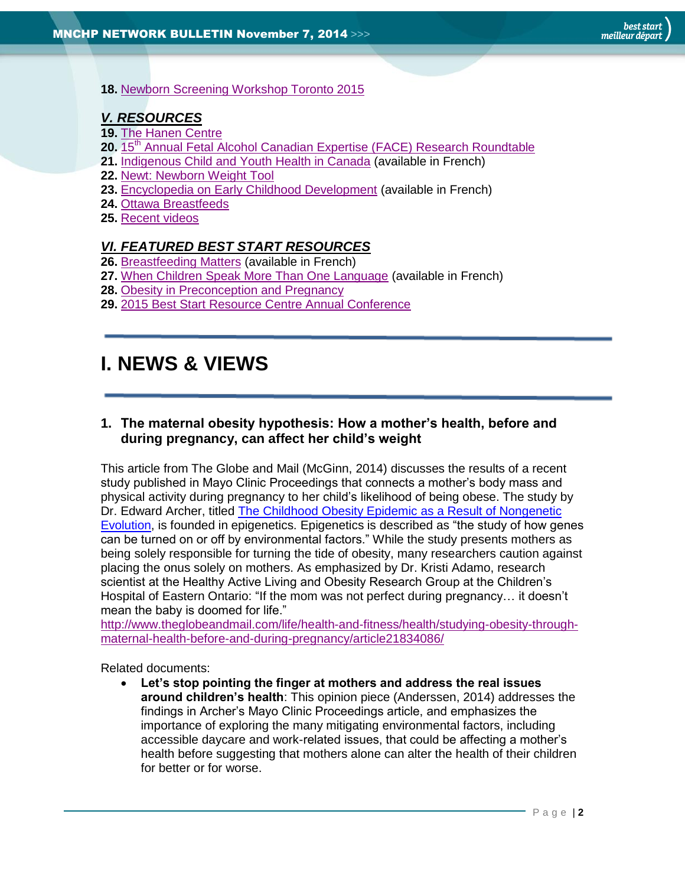#### **18.** [Newborn Screening Workshop Toronto 2015](#page-12-1)

# *[V. RESOURCES](#page-12-2)*

- **19.** [The Hanen Centre](#page-12-3)
- 20. 15<sup>th</sup> [Annual Fetal Alcohol Canadian Expertise \(FACE\) Research Roundtable](#page-13-0)
- **21.** [Indigenous Child and Youth Health in Canada](#page-13-1) (available in French)
- **22.** [Newt: Newborn Weight Tool](#page-13-2)
- **23.** [Encyclopedia on Early Childhood Development](#page-13-3) (available in French)
- **24.** [Ottawa Breastfeeds](#page-14-0)
- **25.** [Recent videos](#page-14-1)

# *[VI. FEATURED BEST START RESOURCES](#page-14-2)*

- **26.** [Breastfeeding Matters](#page-15-0) (available in French)
- **27.** [When Children Speak More Than One Language](#page-15-1) (available in French)
- **28.** [Obesity in Preconception and Pregnancy](#page-15-2)
- **29.** [2015 Best Start Resource Centre Annual Conference](#page-16-1)

# <span id="page-1-0"></span>**I. NEWS & VIEWS**

# <span id="page-1-1"></span>**1. The maternal obesity hypothesis: How a mother's health, before and during pregnancy, can affect her child's weight**

This article from The Globe and Mail (McGinn, 2014) discusses the results of a recent study published in Mayo Clinic Proceedings that connects a mother's body mass and physical activity during pregnancy to her child's likelihood of being obese. The study by Dr. Edward Archer, titled [The Childhood Obesity Epidemic as a Result of Nongenetic](http://www.theglobeandmail.com/life/health-and-fitness/health/studying-obesity-through-maternal-health-before-and-during-pregnancy/article21834086/)  [Evolution,](http://www.theglobeandmail.com/life/health-and-fitness/health/studying-obesity-through-maternal-health-before-and-during-pregnancy/article21834086/) is founded in epigenetics. Epigenetics is described as "the study of how genes can be turned on or off by environmental factors." While the study presents mothers as being solely responsible for turning the tide of obesity, many researchers caution against placing the onus solely on mothers. As emphasized by Dr. Kristi Adamo, research scientist at the Healthy Active Living and Obesity Research Group at the Children's Hospital of Eastern Ontario: "If the mom was not perfect during pregnancy… it doesn't mean the baby is doomed for life."

[http://www.theglobeandmail.com/life/health-and-fitness/health/studying-obesity-through](http://www.theglobeandmail.com/life/health-and-fitness/health/studying-obesity-through-maternal-health-before-and-during-pregnancy/article21834086/)[maternal-health-before-and-during-pregnancy/article21834086/](http://www.theglobeandmail.com/life/health-and-fitness/health/studying-obesity-through-maternal-health-before-and-during-pregnancy/article21834086/)

Related documents:

 **Let's stop pointing the finger at mothers and address the real issues around children's health**: This opinion piece (Anderssen, 2014) addresses the findings in Archer's Mayo Clinic Proceedings article, and emphasizes the importance of exploring the many mitigating environmental factors, including accessible daycare and work-related issues, that could be affecting a mother's health before suggesting that mothers alone can alter the health of their children for better or for worse.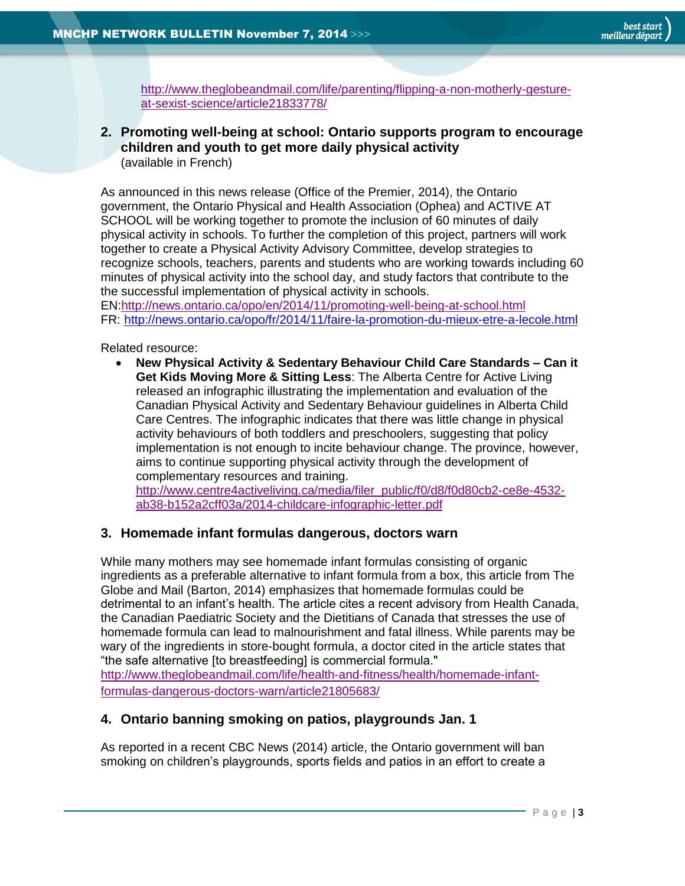[http://www.theglobeandmail.com/life/parenting/flipping-a-non-motherly-gesture](http://www.theglobeandmail.com/life/parenting/flipping-a-non-motherly-gesture-at-sexist-science/article21833778/)[at-sexist-science/article21833778/](http://www.theglobeandmail.com/life/parenting/flipping-a-non-motherly-gesture-at-sexist-science/article21833778/)

<span id="page-2-0"></span>**2. Promoting well-being at school: Ontario supports program to encourage children and youth to get more daily physical activity** (available in French)

As announced in this news release (Office of the Premier, 2014), the Ontario government, the Ontario Physical and Health Association (Ophea) and ACTIVE AT SCHOOL will be working together to promote the inclusion of 60 minutes of daily physical activity in schools. To further the completion of this project, partners will work together to create a Physical Activity Advisory Committee, develop strategies to recognize schools, teachers, parents and students who are working towards including 60 minutes of physical activity into the school day, and study factors that contribute to the the successful implementation of physical activity in schools.

EN[:http://news.ontario.ca/opo/en/2014/11/promoting-well-being-at-school.html](http://news.ontario.ca/opo/en/2014/11/promoting-well-being-at-school.html) FR: <http://news.ontario.ca/opo/fr/2014/11/faire-la-promotion-du-mieux-etre-a-lecole.html>

Related resource:

 **New Physical Activity & Sedentary Behaviour Child Care Standards – Can it Get Kids Moving More & Sitting Less**: The Alberta Centre for Active Living released an infographic illustrating the implementation and evaluation of the Canadian Physical Activity and Sedentary Behaviour guidelines in Alberta Child Care Centres. The infographic indicates that there was little change in physical activity behaviours of both toddlers and preschoolers, suggesting that policy implementation is not enough to incite behaviour change. The province, however, aims to continue supporting physical activity through the development of complementary resources and training.

[http://www.centre4activeliving.ca/media/filer\\_public/f0/d8/f0d80cb2-ce8e-4532](http://www.centre4activeliving.ca/media/filer_public/f0/d8/f0d80cb2-ce8e-4532-ab38-b152a2cff03a/2014-childcare-infographic-letter.pdf) [ab38-b152a2cff03a/2014-childcare-infographic-letter.pdf](http://www.centre4activeliving.ca/media/filer_public/f0/d8/f0d80cb2-ce8e-4532-ab38-b152a2cff03a/2014-childcare-infographic-letter.pdf)

# <span id="page-2-1"></span>**3. Homemade infant formulas dangerous, doctors warn**

While many mothers may see homemade infant formulas consisting of organic ingredients as a preferable alternative to infant formula from a box, this article from The Globe and Mail (Barton, 2014) emphasizes that homemade formulas could be detrimental to an infant's health. The article cites a recent advisory from Health Canada, the Canadian Paediatric Society and the Dietitians of Canada that stresses the use of homemade formula can lead to malnourishment and fatal illness. While parents may be wary of the ingredients in store-bought formula, a doctor cited in the article states that "the safe alternative [to breastfeeding] is commercial formula."

[http://www.theglobeandmail.com/life/health-and-fitness/health/homemade-infant](http://www.theglobeandmail.com/life/health-and-fitness/health/homemade-infant-formulas-dangerous-doctors-warn/article21805683/)[formulas-dangerous-doctors-warn/article21805683/](http://www.theglobeandmail.com/life/health-and-fitness/health/homemade-infant-formulas-dangerous-doctors-warn/article21805683/)

# <span id="page-2-2"></span>**4. Ontario banning smoking on patios, playgrounds Jan. 1**

As reported in a recent CBC News (2014) article, the Ontario government will ban smoking on children's playgrounds, sports fields and patios in an effort to create a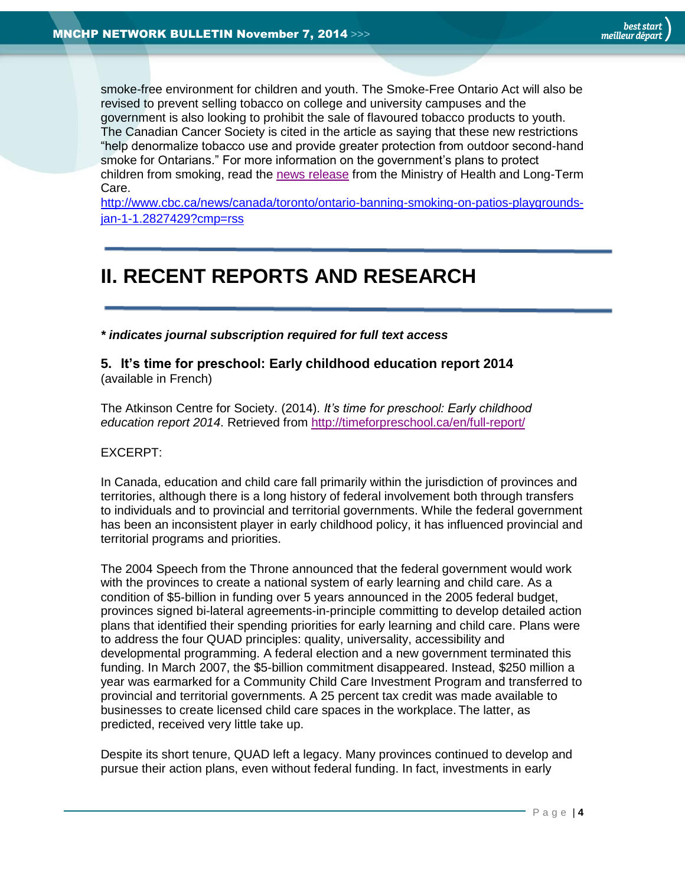smoke-free environment for children and youth. The Smoke-Free Ontario Act will also be revised to prevent selling tobacco on college and university campuses and the government is also looking to prohibit the sale of flavoured tobacco products to youth. The Canadian Cancer Society is cited in the article as saying that these new restrictions "help denormalize tobacco use and provide greater protection from outdoor second-hand smoke for Ontarians." For more information on the government's plans to protect children from smoking, read the [news release](http://news.ontario.ca/mohltc/en/2014/11/smoking-to-be-prohibited-on-patios-sport-fields-and-playgrounds.html?utm_source=all_news&utm_medium=rss_click&utm_campaign=rss_feed&utm_reader=feedly) from the Ministry of Health and Long-Term Care.

[http://www.cbc.ca/news/canada/toronto/ontario-banning-smoking-on-patios-playgrounds](http://www.cbc.ca/news/canada/toronto/ontario-banning-smoking-on-patios-playgrounds-jan-1-1.2827429?cmp=rss)[jan-1-1.2827429?cmp=rss](http://www.cbc.ca/news/canada/toronto/ontario-banning-smoking-on-patios-playgrounds-jan-1-1.2827429?cmp=rss)

# <span id="page-3-0"></span>**II. RECENT REPORTS AND RESEARCH**

*\* indicates journal subscription required for full text access*

<span id="page-3-1"></span>**5. It's time for preschool: Early childhood education report 2014** (available in French)

The Atkinson Centre for Society. (2014). *It's time for preschool: Early childhood education report 2014*. Retrieved from<http://timeforpreschool.ca/en/full-report/>

# EXCERPT:

In Canada, education and child care fall primarily within the jurisdiction of provinces and territories, although there is a long history of federal involvement both through transfers to individuals and to provincial and territorial governments. While the federal government has been an inconsistent player in early childhood policy, it has influenced provincial and territorial programs and priorities.

The 2004 Speech from the Throne announced that the federal government would work with the provinces to create a national system of early learning and child care. As a condition of \$5-billion in funding over 5 years announced in the 2005 federal budget, provinces signed bi-lateral agreements-in-principle committing to develop detailed action plans that identified their spending priorities for early learning and child care. Plans were to address the four QUAD principles: quality, universality, accessibility and developmental programming. A federal election and a new government terminated this funding. In March 2007, the \$5-billion commitment disappeared. Instead, \$250 million a year was earmarked for a Community Child Care Investment Program and transferred to provincial and territorial governments. A 25 percent tax credit was made available to businesses to create licensed child care spaces in the workplace. The latter, as predicted, received very little take up.

Despite its short tenure, QUAD left a legacy. Many provinces continued to develop and pursue their action plans, even without federal funding. In fact, investments in early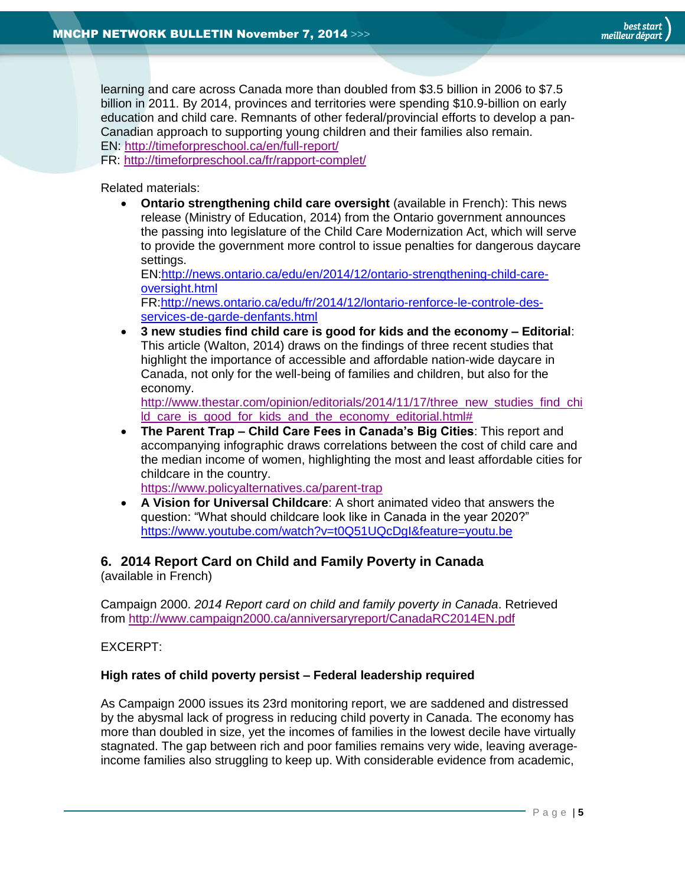learning and care across Canada more than doubled from \$3.5 billion in 2006 to \$7.5 billion in 2011. By 2014, provinces and territories were spending \$10.9-billion on early education and child care. Remnants of other federal/provincial efforts to develop a pan-Canadian approach to supporting young children and their families also remain. EN:<http://timeforpreschool.ca/en/full-report/>

FR: <http://timeforpreschool.ca/fr/rapport-complet/>

Related materials:

 **Ontario strengthening child care oversight** (available in French): This news release (Ministry of Education, 2014) from the Ontario government announces the passing into legislature of the Child Care Modernization Act, which will serve to provide the government more control to issue penalties for dangerous daycare settings.

EN[:http://news.ontario.ca/edu/en/2014/12/ontario-strengthening-child-care](http://news.ontario.ca/edu/en/2014/12/ontario-strengthening-child-care-oversight.html)[oversight.html](http://news.ontario.ca/edu/en/2014/12/ontario-strengthening-child-care-oversight.html)

FR[:http://news.ontario.ca/edu/fr/2014/12/lontario-renforce-le-controle-des](http://news.ontario.ca/edu/fr/2014/12/lontario-renforce-le-controle-des-services-de-garde-denfants.html)[services-de-garde-denfants.html](http://news.ontario.ca/edu/fr/2014/12/lontario-renforce-le-controle-des-services-de-garde-denfants.html)

 **3 new studies find child care is good for kids and the economy – Editorial**: This article (Walton, 2014) draws on the findings of three recent studies that highlight the importance of accessible and affordable nation-wide daycare in Canada, not only for the well-being of families and children, but also for the economy.

[http://www.thestar.com/opinion/editorials/2014/11/17/three\\_new\\_studies\\_find\\_chi](http://www.thestar.com/opinion/editorials/2014/11/17/three_new_studies_find_child_care_is_good_for_kids_and_the_economy_editorial.html) [ld\\_care\\_is\\_good\\_for\\_kids\\_and\\_the\\_economy\\_editorial.html#](http://www.thestar.com/opinion/editorials/2014/11/17/three_new_studies_find_child_care_is_good_for_kids_and_the_economy_editorial.html)

 **The Parent Trap – Child Care Fees in Canada's Big Cities**: This report and accompanying infographic draws correlations between the cost of child care and the median income of women, highlighting the most and least affordable cities for childcare in the country.

<https://www.policyalternatives.ca/parent-trap>

 **A Vision for Universal Childcare**: A short animated video that answers the question: "What should childcare look like in Canada in the year 2020?" <https://www.youtube.com/watch?v=t0Q51UQcDgI&feature=youtu.be>

# <span id="page-4-0"></span>**6. 2014 Report Card on Child and Family Poverty in Canada**

(available in French)

Campaign 2000. *2014 Report card on child and family poverty in Canada*. Retrieved from<http://www.campaign2000.ca/anniversaryreport/CanadaRC2014EN.pdf>

EXCERPT:

#### **High rates of child poverty persist – Federal leadership required**

As Campaign 2000 issues its 23rd monitoring report, we are saddened and distressed by the abysmal lack of progress in reducing child poverty in Canada. The economy has more than doubled in size, yet the incomes of families in the lowest decile have virtually stagnated. The gap between rich and poor families remains very wide, leaving averageincome families also struggling to keep up. With considerable evidence from academic,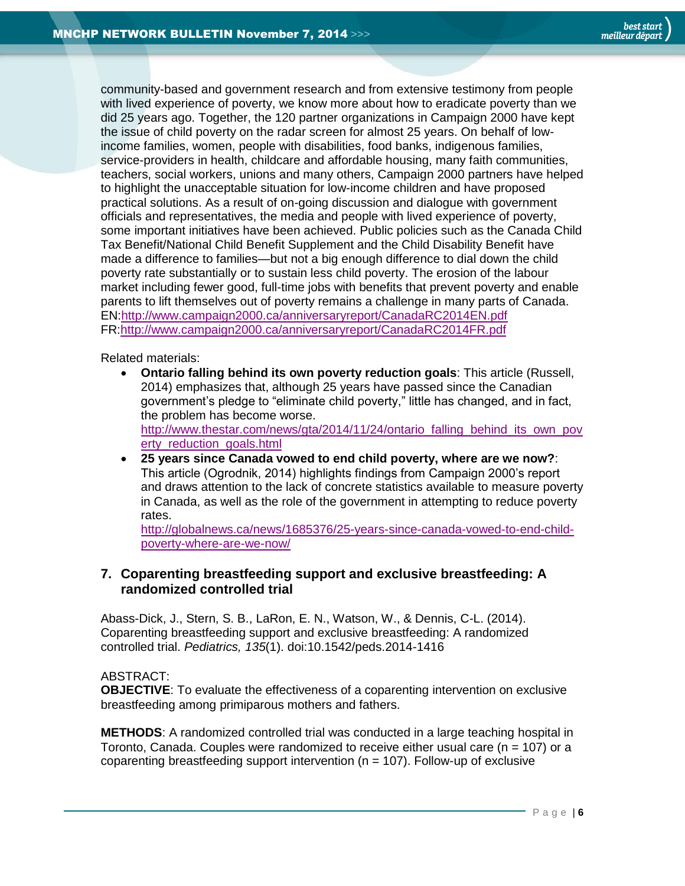community-based and government research and from extensive testimony from people with lived experience of poverty, we know more about how to eradicate poverty than we did 25 years ago. Together, the 120 partner organizations in Campaign 2000 have kept the issue of child poverty on the radar screen for almost 25 years. On behalf of lowincome families, women, people with disabilities, food banks, indigenous families, service-providers in health, childcare and affordable housing, many faith communities, teachers, social workers, unions and many others, Campaign 2000 partners have helped to highlight the unacceptable situation for low-income children and have proposed practical solutions. As a result of on-going discussion and dialogue with government officials and representatives, the media and people with lived experience of poverty, some important initiatives have been achieved. Public policies such as the Canada Child Tax Benefit/National Child Benefit Supplement and the Child Disability Benefit have made a difference to families—but not a big enough difference to dial down the child poverty rate substantially or to sustain less child poverty. The erosion of the labour market including fewer good, full-time jobs with benefits that prevent poverty and enable parents to lift themselves out of poverty remains a challenge in many parts of Canada. EN[:http://www.campaign2000.ca/anniversaryreport/CanadaRC2014EN.pdf](http://www.campaign2000.ca/anniversaryreport/CanadaRC2014EN.pdf) FR[:http://www.campaign2000.ca/anniversaryreport/CanadaRC2014FR.pdf](http://www.campaign2000.ca/anniversaryreport/CanadaRC2014FR.pdf)

Related materials:

- **Ontario falling behind its own poverty reduction goals**: This article (Russell, 2014) emphasizes that, although 25 years have passed since the Canadian government's pledge to "eliminate child poverty," little has changed, and in fact, the problem has become worse. [http://www.thestar.com/news/gta/2014/11/24/ontario\\_falling\\_behind\\_its\\_own\\_pov](http://www.thestar.com/news/gta/2014/11/24/ontario_falling_behind_its_own_poverty_reduction_goals.html) erty reduction goals.html
- **25 years since Canada vowed to end child poverty, where are we now?**: This article (Ogrodnik, 2014) highlights findings from Campaign 2000's report and draws attention to the lack of concrete statistics available to measure poverty in Canada, as well as the role of the government in attempting to reduce poverty rates.

[http://globalnews.ca/news/1685376/25-years-since-canada-vowed-to-end-child](http://globalnews.ca/news/1685376/25-years-since-canada-vowed-to-end-child-poverty-where-are-we-now/)[poverty-where-are-we-now/](http://globalnews.ca/news/1685376/25-years-since-canada-vowed-to-end-child-poverty-where-are-we-now/)

# <span id="page-5-0"></span>**7. Coparenting breastfeeding support and exclusive breastfeeding: A randomized controlled trial**

Abass-Dick, J., Stern, S. B., LaRon, E. N., Watson, W., & Dennis, C-L. (2014). Coparenting breastfeeding support and exclusive breastfeeding: A randomized controlled trial. *Pediatrics, 135*(1). doi:10.1542/peds.2014-1416

ABSTRACT:

**OBJECTIVE**: To evaluate the effectiveness of a coparenting intervention on exclusive breastfeeding among primiparous mothers and fathers.

**METHODS**: A randomized controlled trial was conducted in a large teaching hospital in Toronto, Canada. Couples were randomized to receive either usual care (n = 107) or a coparenting breastfeeding support intervention ( $n = 107$ ). Follow-up of exclusive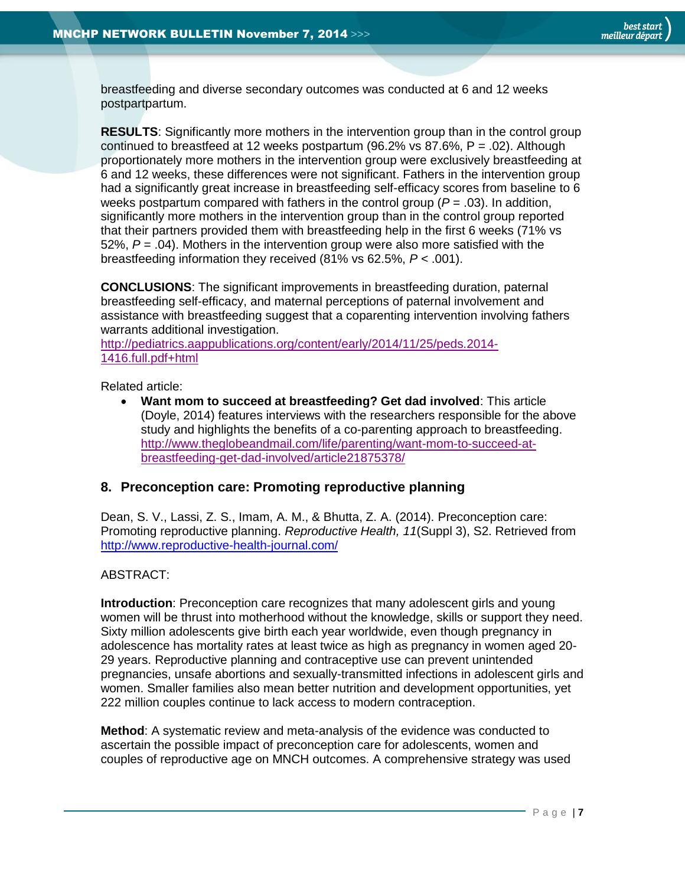breastfeeding and diverse secondary outcomes was conducted at 6 and 12 weeks postpartpartum.

**RESULTS**: Significantly more mothers in the intervention group than in the control group continued to breastfeed at 12 weeks postpartum (96.2% vs 87.6%,  $P = .02$ ). Although proportionately more mothers in the intervention group were exclusively breastfeeding at 6 and 12 weeks, these differences were not significant. Fathers in the intervention group had a significantly great increase in breastfeeding self-efficacy scores from baseline to 6 weeks postpartum compared with fathers in the control group (*P* = .03). In addition, significantly more mothers in the intervention group than in the control group reported that their partners provided them with breastfeeding help in the first 6 weeks (71% vs 52%, *P* = .04). Mothers in the intervention group were also more satisfied with the breastfeeding information they received (81% vs 62.5%, *P <* .001).

**CONCLUSIONS**: The significant improvements in breastfeeding duration, paternal breastfeeding self-efficacy, and maternal perceptions of paternal involvement and assistance with breastfeeding suggest that a coparenting intervention involving fathers warrants additional investigation.

[http://pediatrics.aappublications.org/content/early/2014/11/25/peds.2014-](http://pediatrics.aappublications.org/content/early/2014/11/25/peds.2014-1416.full.pdf+html) [1416.full.pdf+html](http://pediatrics.aappublications.org/content/early/2014/11/25/peds.2014-1416.full.pdf+html)

Related article:

 **Want mom to succeed at breastfeeding? Get dad involved**: This article (Doyle, 2014) features interviews with the researchers responsible for the above study and highlights the benefits of a co-parenting approach to breastfeeding. [http://www.theglobeandmail.com/life/parenting/want-mom-to-succeed-at](http://www.theglobeandmail.com/life/parenting/want-mom-to-succeed-at-breastfeeding-get-dad-involved/article21875378/)[breastfeeding-get-dad-involved/article21875378/](http://www.theglobeandmail.com/life/parenting/want-mom-to-succeed-at-breastfeeding-get-dad-involved/article21875378/)

# <span id="page-6-0"></span>**8. Preconception care: Promoting reproductive planning**

Dean, S. V., Lassi, Z. S., Imam, A. M., & Bhutta, Z. A. (2014). Preconception care: Promoting reproductive planning. *Reproductive Health, 11*(Suppl 3), S2. Retrieved from <http://www.reproductive-health-journal.com/>

#### ABSTRACT:

**Introduction**: Preconception care recognizes that many adolescent girls and young women will be thrust into motherhood without the knowledge, skills or support they need. Sixty million adolescents give birth each year worldwide, even though pregnancy in adolescence has mortality rates at least twice as high as pregnancy in women aged 20- 29 years. Reproductive planning and contraceptive use can prevent unintended pregnancies, unsafe abortions and sexually-transmitted infections in adolescent girls and women. Smaller families also mean better nutrition and development opportunities, yet 222 million couples continue to lack access to modern contraception.

**Method**: A systematic review and meta-analysis of the evidence was conducted to ascertain the possible impact of preconception care for adolescents, women and couples of reproductive age on MNCH outcomes. A comprehensive strategy was used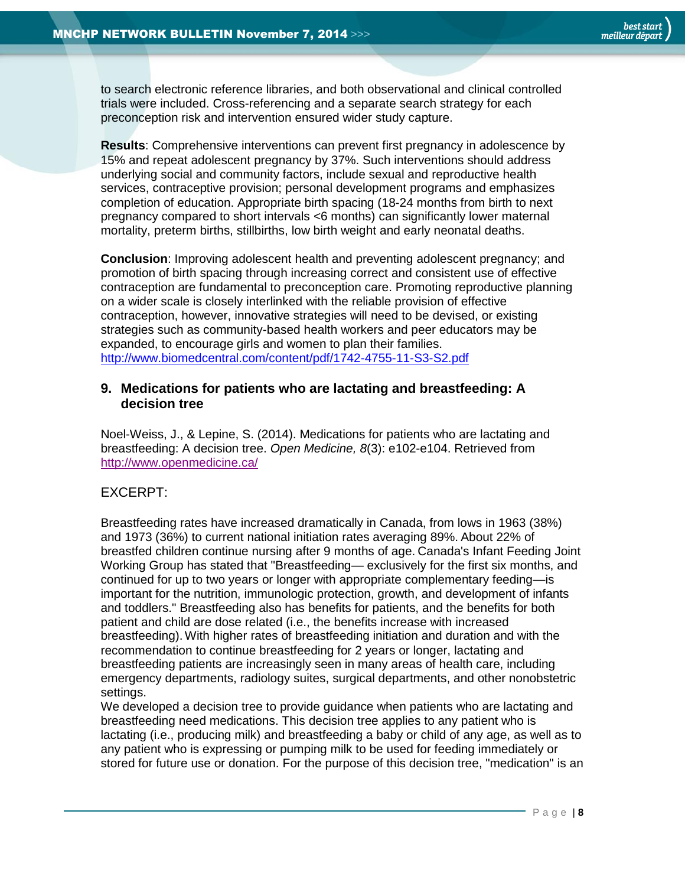to search electronic reference libraries, and both observational and clinical controlled trials were included. Cross-referencing and a separate search strategy for each preconception risk and intervention ensured wider study capture.

**Results**: Comprehensive interventions can prevent first pregnancy in adolescence by 15% and repeat adolescent pregnancy by 37%. Such interventions should address underlying social and community factors, include sexual and reproductive health services, contraceptive provision; personal development programs and emphasizes completion of education. Appropriate birth spacing (18-24 months from birth to next pregnancy compared to short intervals <6 months) can significantly lower maternal mortality, preterm births, stillbirths, low birth weight and early neonatal deaths.

**Conclusion**: Improving adolescent health and preventing adolescent pregnancy; and promotion of birth spacing through increasing correct and consistent use of effective contraception are fundamental to preconception care. Promoting reproductive planning on a wider scale is closely interlinked with the reliable provision of effective contraception, however, innovative strategies will need to be devised, or existing strategies such as community-based health workers and peer educators may be expanded, to encourage girls and women to plan their families. <http://www.biomedcentral.com/content/pdf/1742-4755-11-S3-S2.pdf>

# <span id="page-7-0"></span>**9. Medications for patients who are lactating and breastfeeding: A decision tree**

Noel-Weiss, J., & Lepine, S. (2014). Medications for patients who are lactating and breastfeeding: A decision tree. *Open Medicine, 8*(3): e102-e104. Retrieved from <http://www.openmedicine.ca/>

# EXCERPT:

Breastfeeding rates have increased dramatically in Canada, from lows in 1963 (38%) and 1973 (36%) to current national initiation rates averaging 89%. About 22% of breastfed children continue nursing after 9 months of age. Canada's Infant Feeding Joint Working Group has stated that "Breastfeeding— exclusively for the first six months, and continued for up to two years or longer with appropriate complementary feeding—is important for the nutrition, immunologic protection, growth, and development of infants and toddlers." Breastfeeding also has benefits for patients, and the benefits for both patient and child are dose related (i.e., the benefits increase with increased breastfeeding).With higher rates of breastfeeding initiation and duration and with the recommendation to continue breastfeeding for 2 years or longer, lactating and breastfeeding patients are increasingly seen in many areas of health care, including emergency departments, radiology suites, surgical departments, and other nonobstetric settings.

We developed a decision tree to provide guidance when patients who are lactating and breastfeeding need medications. This decision tree applies to any patient who is lactating (i.e., producing milk) and breastfeeding a baby or child of any age, as well as to any patient who is expressing or pumping milk to be used for feeding immediately or stored for future use or donation. For the purpose of this decision tree, "medication" is an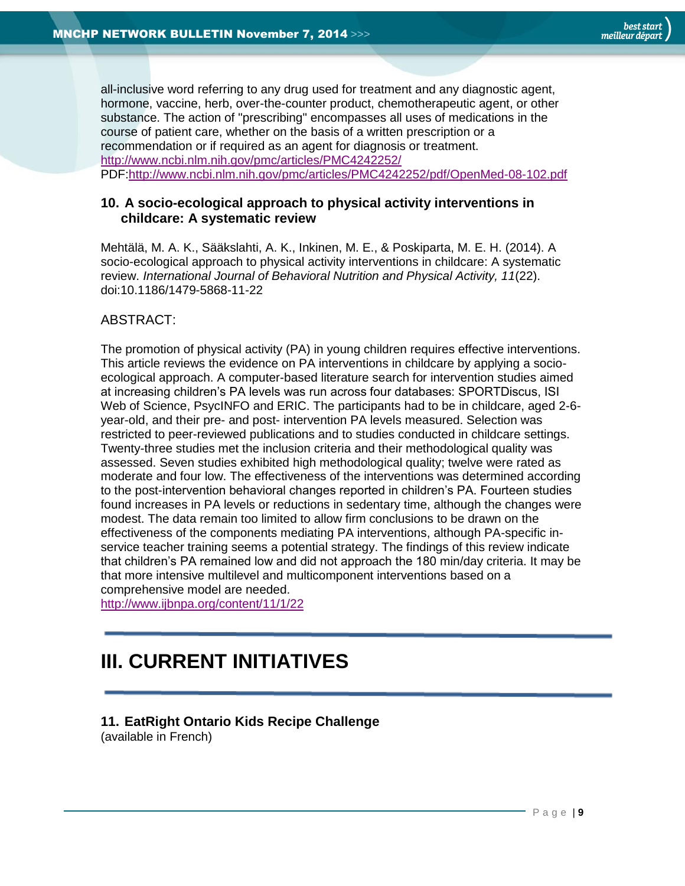all-inclusive word referring to any drug used for treatment and any diagnostic agent, hormone, vaccine, herb, over-the-counter product, chemotherapeutic agent, or other substance. The action of "prescribing" encompasses all uses of medications in the course of patient care, whether on the basis of a written prescription or a recommendation or if required as an agent for diagnosis or treatment. <http://www.ncbi.nlm.nih.gov/pmc/articles/PMC4242252/> PDF[:http://www.ncbi.nlm.nih.gov/pmc/articles/PMC4242252/pdf/OpenMed-08-102.pdf](http://www.ncbi.nlm.nih.gov/pmc/articles/PMC4242252/pdf/OpenMed-08-102.pdf)

#### <span id="page-8-0"></span>**10. A socio-ecological approach to physical activity interventions in childcare: A systematic review**

Mehtälä, M. A. K., Sääkslahti, A. K., Inkinen, M. E., & Poskiparta, M. E. H. (2014). A socio-ecological approach to physical activity interventions in childcare: A systematic review. *International Journal of Behavioral Nutrition and Physical Activity, 11*(22). doi:10.1186/1479-5868-11-22

# ABSTRACT:

The promotion of physical activity (PA) in young children requires effective interventions. This article reviews the evidence on PA interventions in childcare by applying a socioecological approach. A computer-based literature search for intervention studies aimed at increasing children's PA levels was run across four databases: SPORTDiscus, ISI Web of Science, PsycINFO and ERIC. The participants had to be in childcare, aged 2-6 year-old, and their pre- and post- intervention PA levels measured. Selection was restricted to peer-reviewed publications and to studies conducted in childcare settings. Twenty-three studies met the inclusion criteria and their methodological quality was assessed. Seven studies exhibited high methodological quality; twelve were rated as moderate and four low. The effectiveness of the interventions was determined according to the post-intervention behavioral changes reported in children's PA. Fourteen studies found increases in PA levels or reductions in sedentary time, although the changes were modest. The data remain too limited to allow firm conclusions to be drawn on the effectiveness of the components mediating PA interventions, although PA-specific inservice teacher training seems a potential strategy. The findings of this review indicate that children's PA remained low and did not approach the 180 min/day criteria. It may be that more intensive multilevel and multicomponent interventions based on a comprehensive model are needed.

<http://www.ijbnpa.org/content/11/1/22>

# <span id="page-8-1"></span>**III. CURRENT INITIATIVES**

# <span id="page-8-2"></span>**11. EatRight Ontario Kids Recipe Challenge**

(available in French)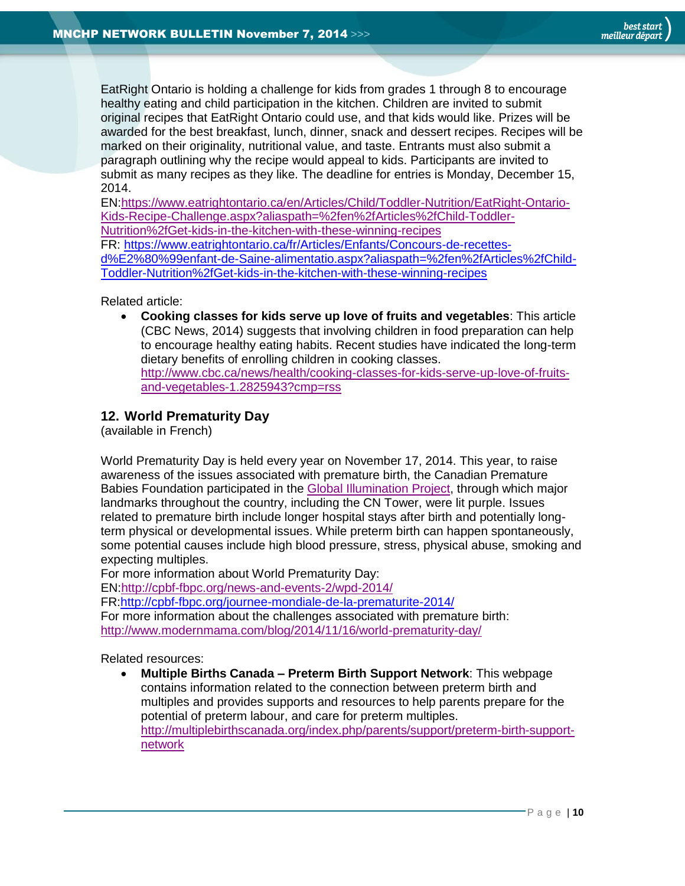EatRight Ontario is holding a challenge for kids from grades 1 through 8 to encourage healthy eating and child participation in the kitchen. Children are invited to submit original recipes that EatRight Ontario could use, and that kids would like. Prizes will be awarded for the best breakfast, lunch, dinner, snack and dessert recipes. Recipes will be marked on their originality, nutritional value, and taste. Entrants must also submit a paragraph outlining why the recipe would appeal to kids. Participants are invited to submit as many recipes as they like. The deadline for entries is Monday, December 15, 2014.

EN[:https://www.eatrightontario.ca/en/Articles/Child/Toddler-Nutrition/EatRight-Ontario-](https://www.eatrightontario.ca/en/Articles/Child/Toddler-Nutrition/EatRight-Ontario-Kids-Recipe-Challenge.aspx?aliaspath=%2fen%2fArticles%2fChild-Toddler-Nutrition%2fGet-kids-in-the-kitchen-with-these-winning-recipes)[Kids-Recipe-Challenge.aspx?aliaspath=%2fen%2fArticles%2fChild-Toddler-](https://www.eatrightontario.ca/en/Articles/Child/Toddler-Nutrition/EatRight-Ontario-Kids-Recipe-Challenge.aspx?aliaspath=%2fen%2fArticles%2fChild-Toddler-Nutrition%2fGet-kids-in-the-kitchen-with-these-winning-recipes)[Nutrition%2fGet-kids-in-the-kitchen-with-these-winning-recipes](https://www.eatrightontario.ca/en/Articles/Child/Toddler-Nutrition/EatRight-Ontario-Kids-Recipe-Challenge.aspx?aliaspath=%2fen%2fArticles%2fChild-Toddler-Nutrition%2fGet-kids-in-the-kitchen-with-these-winning-recipes)

FR: [https://www.eatrightontario.ca/fr/Articles/Enfants/Concours-de-recettes](https://www.eatrightontario.ca/fr/Articles/Enfants/Concours-de-recettes-d%E2%80%99enfant-de-Saine-alimentatio.aspx?aliaspath=%2fen%2fArticles%2fChild-Toddler-Nutrition%2fGet-kids-in-the-kitchen-with-these-winning-recipes)[d%E2%80%99enfant-de-Saine-alimentatio.aspx?aliaspath=%2fen%2fArticles%2fChild-](https://www.eatrightontario.ca/fr/Articles/Enfants/Concours-de-recettes-d%E2%80%99enfant-de-Saine-alimentatio.aspx?aliaspath=%2fen%2fArticles%2fChild-Toddler-Nutrition%2fGet-kids-in-the-kitchen-with-these-winning-recipes)[Toddler-Nutrition%2fGet-kids-in-the-kitchen-with-these-winning-recipes](https://www.eatrightontario.ca/fr/Articles/Enfants/Concours-de-recettes-d%E2%80%99enfant-de-Saine-alimentatio.aspx?aliaspath=%2fen%2fArticles%2fChild-Toddler-Nutrition%2fGet-kids-in-the-kitchen-with-these-winning-recipes)

Related article:

 **Cooking classes for kids serve up love of fruits and vegetables**: This article (CBC News, 2014) suggests that involving children in food preparation can help to encourage healthy eating habits. Recent studies have indicated the long-term dietary benefits of enrolling children in cooking classes. [http://www.cbc.ca/news/health/cooking-classes-for-kids-serve-up-love-of-fruits](http://www.cbc.ca/news/health/cooking-classes-for-kids-serve-up-love-of-fruits-and-vegetables-1.2825943?cmp=rss)[and-vegetables-1.2825943?cmp=rss](http://www.cbc.ca/news/health/cooking-classes-for-kids-serve-up-love-of-fruits-and-vegetables-1.2825943?cmp=rss)

# <span id="page-9-0"></span>**12. World Prematurity Day**

(available in French)

World Prematurity Day is held every year on November 17, 2014. This year, to raise awareness of the issues associated with premature birth, the Canadian Premature Babies Foundation participated in the [Global Illumination Project,](http://cpbf-fbpc.org/news-and-events-2/wpd-2014/global-illumination-project-2014/) through which major landmarks throughout the country, including the CN Tower, were lit purple. Issues related to premature birth include longer hospital stays after birth and potentially longterm physical or developmental issues. While preterm birth can happen spontaneously, some potential causes include high blood pressure, stress, physical abuse, smoking and expecting multiples.

For more information about World Prematurity Day:

EN[:http://cpbf-fbpc.org/news-and-events-2/wpd-2014/](http://cpbf-fbpc.org/news-and-events-2/wpd-2014/)

FR[:http://cpbf-fbpc.org/journee-mondiale-de-la-prematurite-2014/](http://cpbf-fbpc.org/journee-mondiale-de-la-prematurite-2014/)

For more information about the challenges associated with premature birth: <http://www.modernmama.com/blog/2014/11/16/world-prematurity-day/>

Related resources:

 **Multiple Births Canada – Preterm Birth Support Network**: This webpage contains information related to the connection between preterm birth and multiples and provides supports and resources to help parents prepare for the potential of preterm labour, and care for preterm multiples. [http://multiplebirthscanada.org/index.php/parents/support/preterm-birth-support](http://multiplebirthscanada.org/index.php/parents/support/preterm-birth-support-network)[network](http://multiplebirthscanada.org/index.php/parents/support/preterm-birth-support-network)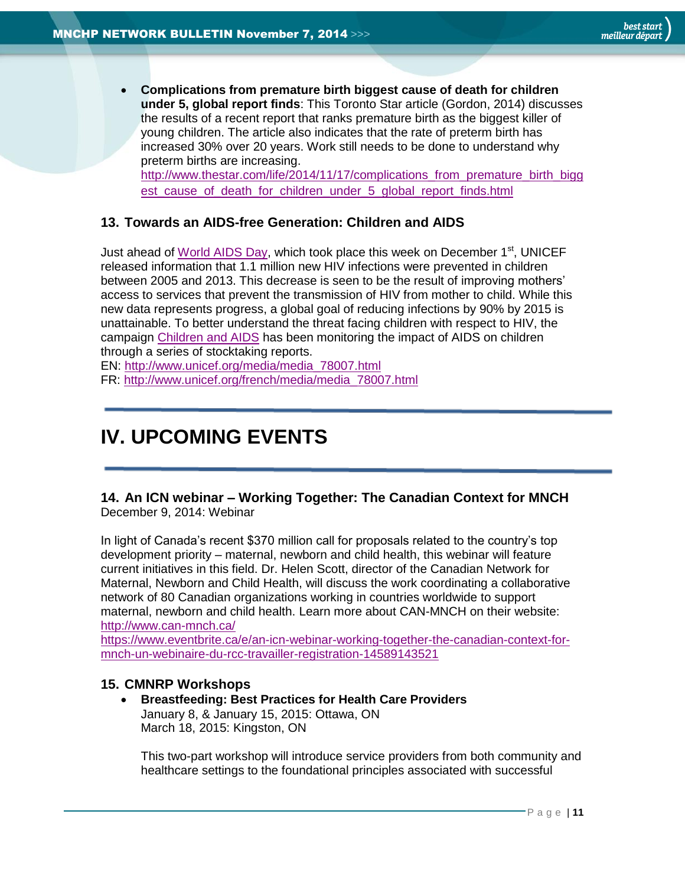**Complications from premature birth biggest cause of death for children under 5, global report finds**: This Toronto Star article (Gordon, 2014) discusses the results of a recent report that ranks premature birth as the biggest killer of young children. The article also indicates that the rate of preterm birth has increased 30% over 20 years. Work still needs to be done to understand why preterm births are increasing.

[http://www.thestar.com/life/2014/11/17/complications\\_from\\_premature\\_birth\\_bigg](http://www.thestar.com/life/2014/11/17/complications_from_premature_birth_biggest_cause_of_death_for_children_under_5_global_report_finds.html) est cause of death for children under 5 global report finds.html

# <span id="page-10-0"></span>**13. Towards an AIDS-free Generation: Children and AIDS**

Just ahead of [World AIDS Day,](http://www.worldaidsday.org/campaign.php) which took place this week on December 1<sup>st</sup>, UNICEF released information that 1.1 million new HIV infections were prevented in children between 2005 and 2013. This decrease is seen to be the result of improving mothers' access to services that prevent the transmission of HIV from mother to child. While this new data represents progress, a global goal of reducing infections by 90% by 2015 is unattainable. To better understand the threat facing children with respect to HIV, the campaign [Children and AIDS](http://childrenandaids.org/index.html) has been monitoring the impact of AIDS on children through a series of stocktaking reports.

EN: [http://www.unicef.org/media/media\\_78007.html](http://www.unicef.org/media/media_78007.html) FR: [http://www.unicef.org/french/media/media\\_78007.html](http://www.unicef.org/french/media/media_78007.html)

# <span id="page-10-1"></span>**IV. UPCOMING EVENTS**

<span id="page-10-2"></span>**14. An ICN webinar – Working Together: The Canadian Context for MNCH** December 9, 2014: Webinar

In light of Canada's recent \$370 million call for proposals related to the country's top development priority – maternal, newborn and child health, this webinar will feature current initiatives in this field. Dr. Helen Scott, director of the Canadian Network for Maternal, Newborn and Child Health, will discuss the work coordinating a collaborative network of 80 Canadian organizations working in countries worldwide to support maternal, newborn and child health. Learn more about CAN-MNCH on their website: <http://www.can-mnch.ca/>

[https://www.eventbrite.ca/e/an-icn-webinar-working-together-the-canadian-context-for](https://www.eventbrite.ca/e/an-icn-webinar-working-together-the-canadian-context-for-mnch-un-webinaire-du-rcc-travailler-registration-14589143521)[mnch-un-webinaire-du-rcc-travailler-registration-14589143521](https://www.eventbrite.ca/e/an-icn-webinar-working-together-the-canadian-context-for-mnch-un-webinaire-du-rcc-travailler-registration-14589143521)

# **15. CMNRP Workshops**

<span id="page-10-3"></span> **Breastfeeding: Best Practices for Health Care Providers** January 8, & January 15, 2015: Ottawa, ON March 18, 2015: Kingston, ON

This two-part workshop will introduce service providers from both community and healthcare settings to the foundational principles associated with successful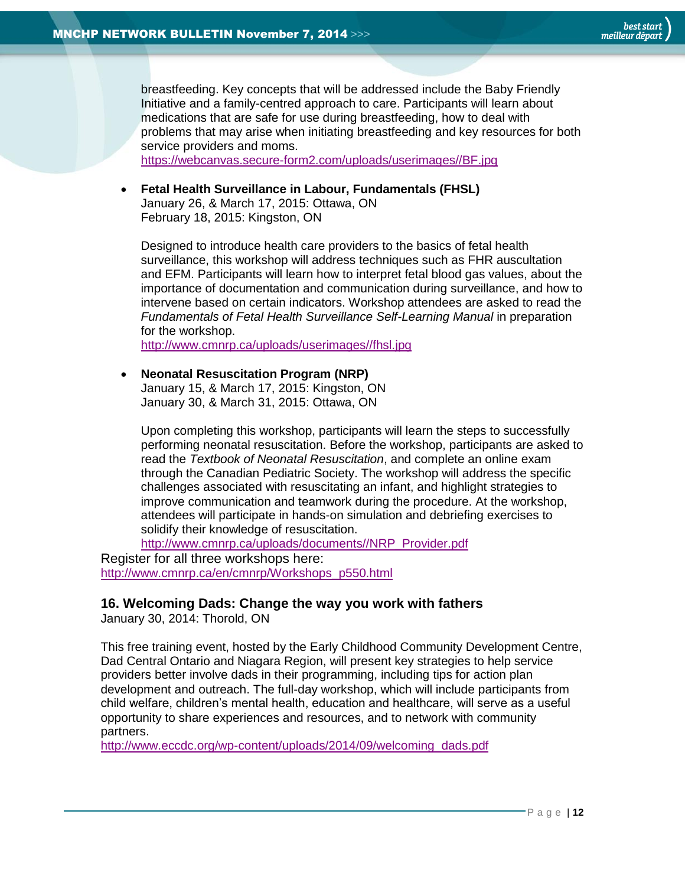

breastfeeding. Key concepts that will be addressed include the Baby Friendly Initiative and a family-centred approach to care. Participants will learn about medications that are safe for use during breastfeeding, how to deal with problems that may arise when initiating breastfeeding and key resources for both service providers and moms.

[https://webcanvas.secure-form2.com/uploads/userimages//BF.jpg](https://webcanvas.secure-form2.com/uploads/userimages/BF.jpg)

 **Fetal Health Surveillance in Labour, Fundamentals (FHSL)** January 26, & March 17, 2015: Ottawa, ON February 18, 2015: Kingston, ON

Designed to introduce health care providers to the basics of fetal health surveillance, this workshop will address techniques such as FHR auscultation and EFM. Participants will learn how to interpret fetal blood gas values, about the importance of documentation and communication during surveillance, and how to intervene based on certain indicators. Workshop attendees are asked to read the *Fundamentals of Fetal Health Surveillance Self-Learning Manual* in preparation for the workshop.

[http://www.cmnrp.ca/uploads/userimages//fhsl.jpg](http://www.cmnrp.ca/uploads/userimages/fhsl.jpg)

 **Neonatal Resuscitation Program (NRP)** January 15, & March 17, 2015: Kingston, ON January 30, & March 31, 2015: Ottawa, ON

Upon completing this workshop, participants will learn the steps to successfully performing neonatal resuscitation. Before the workshop, participants are asked to read the *Textbook of Neonatal Resuscitation*, and complete an online exam through the Canadian Pediatric Society. The workshop will address the specific challenges associated with resuscitating an infant, and highlight strategies to improve communication and teamwork during the procedure. At the workshop, attendees will participate in hands-on simulation and debriefing exercises to solidify their knowledge of resuscitation.

[http://www.cmnrp.ca/uploads/documents//NRP\\_Provider.pdf](http://www.cmnrp.ca/uploads/documents/NRP_Provider.pdf)

Register for all three workshops here: [http://www.cmnrp.ca/en/cmnrp/Workshops\\_p550.html](http://www.cmnrp.ca/en/cmnrp/Workshops_p550.html)

# <span id="page-11-0"></span>**16. Welcoming Dads: Change the way you work with fathers**

January 30, 2014: Thorold, ON

This free training event, hosted by the Early Childhood Community Development Centre, Dad Central Ontario and Niagara Region, will present key strategies to help service providers better involve dads in their programming, including tips for action plan development and outreach. The full-day workshop, which will include participants from child welfare, children's mental health, education and healthcare, will serve as a useful opportunity to share experiences and resources, and to network with community partners.

[http://www.eccdc.org/wp-content/uploads/2014/09/welcoming\\_dads.pdf](http://www.eccdc.org/wp-content/uploads/2014/09/welcoming_dads.pdf)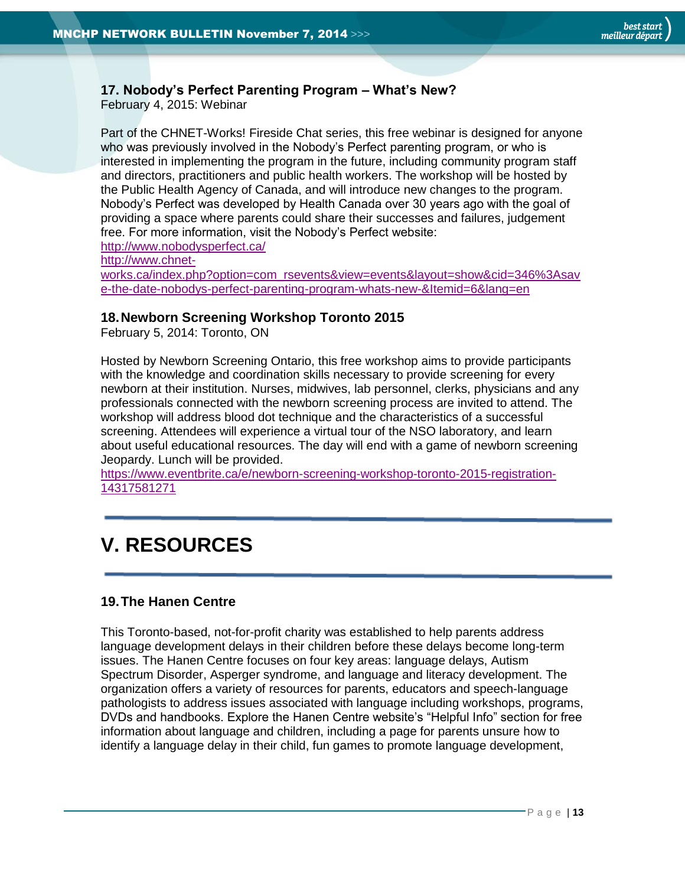# <span id="page-12-0"></span>**17. Nobody's Perfect Parenting Program – What's New?**

February 4, 2015: Webinar

Part of the CHNET-Works! Fireside Chat series, this free webinar is designed for anyone who was previously involved in the Nobody's Perfect parenting program, or who is interested in implementing the program in the future, including community program staff and directors, practitioners and public health workers. The workshop will be hosted by the Public Health Agency of Canada, and will introduce new changes to the program. Nobody's Perfect was developed by Health Canada over 30 years ago with the goal of providing a space where parents could share their successes and failures, judgement free. For more information, visit the Nobody's Perfect website:

<http://www.nobodysperfect.ca/>

[http://www.chnet-](http://www.chnet-works.ca/index.php?option=com_rsevents&view=events&layout=show&cid=346%3Asave-the-date-nobodys-perfect-parenting-program-whats-new-&Itemid=6&lang=en)

[works.ca/index.php?option=com\\_rsevents&view=events&layout=show&cid=346%3Asav](http://www.chnet-works.ca/index.php?option=com_rsevents&view=events&layout=show&cid=346%3Asave-the-date-nobodys-perfect-parenting-program-whats-new-&Itemid=6&lang=en) [e-the-date-nobodys-perfect-parenting-program-whats-new-&Itemid=6&lang=en](http://www.chnet-works.ca/index.php?option=com_rsevents&view=events&layout=show&cid=346%3Asave-the-date-nobodys-perfect-parenting-program-whats-new-&Itemid=6&lang=en)

# <span id="page-12-1"></span>**18.Newborn Screening Workshop Toronto 2015**

February 5, 2014: Toronto, ON

Hosted by Newborn Screening Ontario, this free workshop aims to provide participants with the knowledge and coordination skills necessary to provide screening for every newborn at their institution. Nurses, midwives, lab personnel, clerks, physicians and any professionals connected with the newborn screening process are invited to attend. The workshop will address blood dot technique and the characteristics of a successful screening. Attendees will experience a virtual tour of the NSO laboratory, and learn about useful educational resources. The day will end with a game of newborn screening Jeopardy. Lunch will be provided.

[https://www.eventbrite.ca/e/newborn-screening-workshop-toronto-2015-registration-](https://www.eventbrite.ca/e/newborn-screening-workshop-toronto-2015-registration-14317581271)[14317581271](https://www.eventbrite.ca/e/newborn-screening-workshop-toronto-2015-registration-14317581271)

# <span id="page-12-2"></span>**V. RESOURCES**

# <span id="page-12-3"></span>**19.The Hanen Centre**

This Toronto-based, not-for-profit charity was established to help parents address language development delays in their children before these delays become long-term issues. The Hanen Centre focuses on four key areas: language delays, Autism Spectrum Disorder, Asperger syndrome, and language and literacy development. The organization offers a variety of resources for parents, educators and speech-language pathologists to address issues associated with language including workshops, programs, DVDs and handbooks. Explore the Hanen Centre website's "Helpful Info" section for free information about language and children, including a page for parents unsure how to identify a language delay in their child, fun games to promote language development,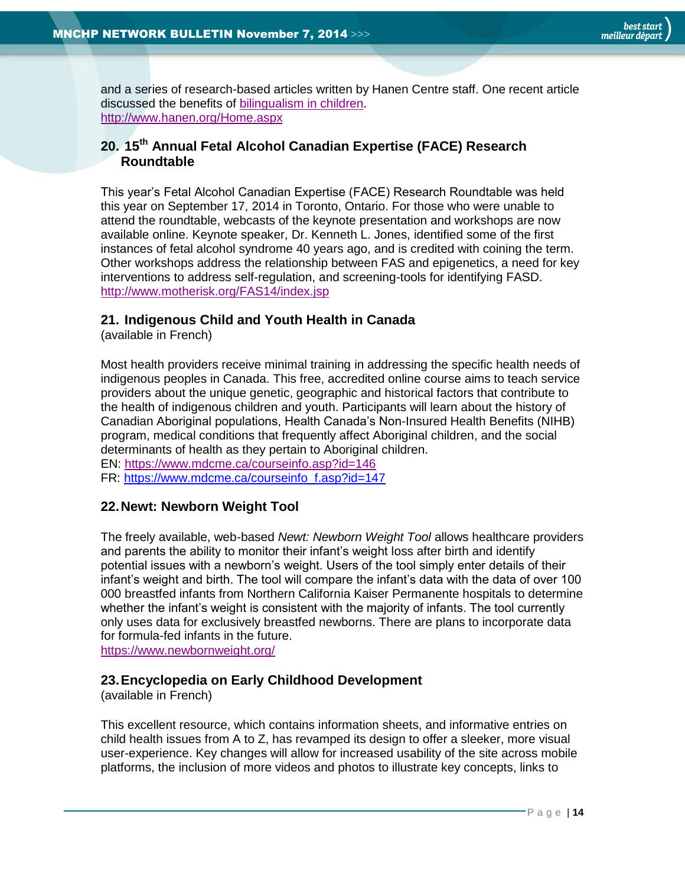and a series of research-based articles written by Hanen Centre staff. One recent article discussed the benefits of [bilingualism in children.](http://www.hanen.org/Helpful-Info/Articles/Bilingualism-in-Young-Children--Separating-Fact-fr.aspx#.VHq6B-jj9pQ.twitter) <http://www.hanen.org/Home.aspx>

# <span id="page-13-0"></span>**20. 15th Annual Fetal Alcohol Canadian Expertise (FACE) Research Roundtable**

This year's Fetal Alcohol Canadian Expertise (FACE) Research Roundtable was held this year on September 17, 2014 in Toronto, Ontario. For those who were unable to attend the roundtable, webcasts of the keynote presentation and workshops are now available online. Keynote speaker, Dr. Kenneth L. Jones, identified some of the first instances of fetal alcohol syndrome 40 years ago, and is credited with coining the term. Other workshops address the relationship between FAS and epigenetics, a need for key interventions to address self-regulation, and screening-tools for identifying FASD. <http://www.motherisk.org/FAS14/index.jsp>

# <span id="page-13-1"></span>**21. Indigenous Child and Youth Health in Canada**

(available in French)

Most health providers receive minimal training in addressing the specific health needs of indigenous peoples in Canada. This free, accredited online course aims to teach service providers about the unique genetic, geographic and historical factors that contribute to the health of indigenous children and youth. Participants will learn about the history of Canadian Aboriginal populations, Health Canada's Non-Insured Health Benefits (NIHB) program, medical conditions that frequently affect Aboriginal children, and the social determinants of health as they pertain to Aboriginal children.

EN:<https://www.mdcme.ca/courseinfo.asp?id=146>

FR: [https://www.mdcme.ca/courseinfo\\_f.asp?id=147](https://www.mdcme.ca/courseinfo_f.asp?id=147)

# <span id="page-13-2"></span>**22.Newt: Newborn Weight Tool**

The freely available, web-based *Newt: Newborn Weight Tool* allows healthcare providers and parents the ability to monitor their infant's weight loss after birth and identify potential issues with a newborn's weight. Users of the tool simply enter details of their infant's weight and birth. The tool will compare the infant's data with the data of over 100 000 breastfed infants from Northern California Kaiser Permanente hospitals to determine whether the infant's weight is consistent with the majority of infants. The tool currently only uses data for exclusively breastfed newborns. There are plans to incorporate data for formula-fed infants in the future.

<https://www.newbornweight.org/>

# <span id="page-13-3"></span>**23.Encyclopedia on Early Childhood Development**

(available in French)

This excellent resource, which contains information sheets, and informative entries on child health issues from A to Z, has revamped its design to offer a sleeker, more visual user-experience. Key changes will allow for increased usability of the site across mobile platforms, the inclusion of more videos and photos to illustrate key concepts, links to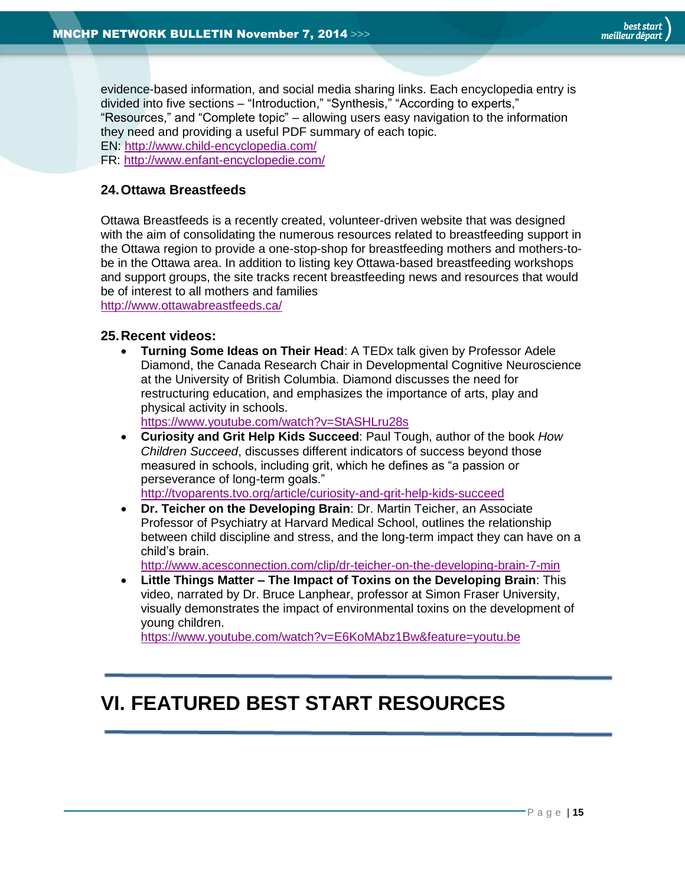evidence-based information, and social media sharing links. Each encyclopedia entry is divided into five sections – "Introduction," "Synthesis," "According to experts," "Resources," and "Complete topic" – allowing users easy navigation to the information they need and providing a useful PDF summary of each topic. EN: <http://www.child-encyclopedia.com/>

FR: <http://www.enfant-encyclopedie.com/>

# <span id="page-14-0"></span>**24.Ottawa Breastfeeds**

Ottawa Breastfeeds is a recently created, volunteer-driven website that was designed with the aim of consolidating the numerous resources related to breastfeeding support in the Ottawa region to provide a one-stop-shop for breastfeeding mothers and mothers-tobe in the Ottawa area. In addition to listing key Ottawa-based breastfeeding workshops and support groups, the site tracks recent breastfeeding news and resources that would be of interest to all mothers and families

<http://www.ottawabreastfeeds.ca/>

#### <span id="page-14-1"></span>**25.Recent videos:**

 **Turning Some Ideas on Their Head**: A TEDx talk given by Professor Adele Diamond, the Canada Research Chair in Developmental Cognitive Neuroscience at the University of British Columbia. Diamond discusses the need for restructuring education, and emphasizes the importance of arts, play and physical activity in schools.

<https://www.youtube.com/watch?v=StASHLru28s>

 **Curiosity and Grit Help Kids Succeed**: Paul Tough, author of the book *How Children Succeed*, discusses different indicators of success beyond those measured in schools, including grit, which he defines as "a passion or perseverance of long-term goals."

<http://tvoparents.tvo.org/article/curiosity-and-grit-help-kids-succeed> **Dr. Teicher on the Developing Brain**: Dr. Martin Teicher, an Associate

Professor of Psychiatry at Harvard Medical School, outlines the relationship between child discipline and stress, and the long-term impact they can have on a child's brain.

<http://www.acesconnection.com/clip/dr-teicher-on-the-developing-brain-7-min>

 **Little Things Matter – The Impact of Toxins on the Developing Brain**: This video, narrated by Dr. Bruce Lanphear, professor at Simon Fraser University, visually demonstrates the impact of environmental toxins on the development of young children.

<https://www.youtube.com/watch?v=E6KoMAbz1Bw&feature=youtu.be>

# <span id="page-14-2"></span>**VI. FEATURED BEST START RESOURCES**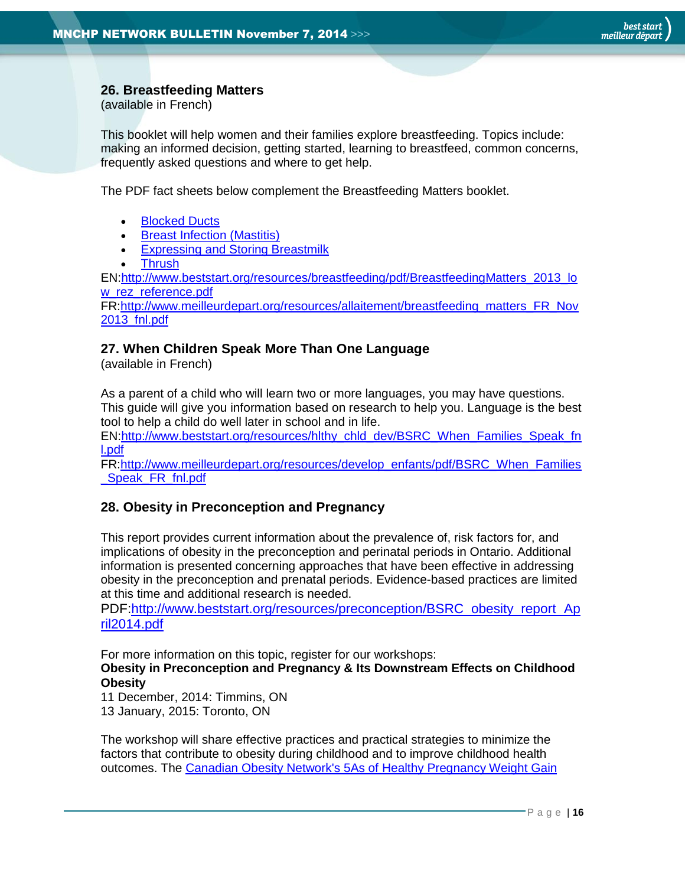# <span id="page-15-0"></span>**26. Breastfeeding Matters**

(available in French)

This booklet will help women and their families explore breastfeeding. Topics include: making an informed decision, getting started, learning to breastfeed, common concerns, frequently asked questions and where to get help.

The PDF fact sheets below complement the Breastfeeding Matters booklet.

- [Blocked Ducts](http://www.beststart.org/resources/breastfeeding/Ducts_Fact%20Sheets_Eng_rev2.pdf)
- **[Breast Infection \(Mastitis\)](http://www.beststart.org/resources/breastfeeding/Infection_Fact%20Sheets_Eng_rev2.pdf)**
- **[Expressing and Storing Breastmilk](http://www.beststart.org/resources/breastfeeding/Expressing_Fact%20Sheets_Eng_rev2.pdf)**
- **[Thrush](http://www.beststart.org/resources/breastfeeding/Thrush_Fact%20Sheets_Eng_rev2.pdf)**

EN[:http://www.beststart.org/resources/breastfeeding/pdf/BreastfeedingMatters\\_2013\\_lo](http://www.beststart.org/resources/breastfeeding/pdf/BreastfeedingMatters_2013_low_rez_reference.pdf) [w\\_rez\\_reference.pdf](http://www.beststart.org/resources/breastfeeding/pdf/BreastfeedingMatters_2013_low_rez_reference.pdf)

FR[:http://www.meilleurdepart.org/resources/allaitement/breastfeeding\\_matters\\_FR\\_Nov](http://www.meilleurdepart.org/resources/allaitement/breastfeeding_matters_FR_Nov2013_fnl.pdf) [2013\\_fnl.pdf](http://www.meilleurdepart.org/resources/allaitement/breastfeeding_matters_FR_Nov2013_fnl.pdf)

# <span id="page-15-1"></span>**27. When Children Speak More Than One Language**

(available in French)

As a parent of a child who will learn two or more languages, you may have questions. This guide will give you information based on research to help you. Language is the best tool to help a child do well later in school and in life.

EN[:http://www.beststart.org/resources/hlthy\\_chld\\_dev/BSRC\\_When\\_Families\\_Speak\\_fn](http://www.beststart.org/resources/hlthy_chld_dev/BSRC_When_Families_Speak_fnl.pdf) [l.pdf](http://www.beststart.org/resources/hlthy_chld_dev/BSRC_When_Families_Speak_fnl.pdf)

FR[:http://www.meilleurdepart.org/resources/develop\\_enfants/pdf/BSRC\\_When\\_Families](http://www.meilleurdepart.org/resources/develop_enfants/pdf/BSRC_When_Families_Speak_FR_fnl.pdf) Speak FR\_fnl.pdf

# <span id="page-15-2"></span>**28. Obesity in Preconception and Pregnancy**

This report provides current information about the prevalence of, risk factors for, and implications of obesity in the preconception and perinatal periods in Ontario. Additional information is presented concerning approaches that have been effective in addressing obesity in the preconception and prenatal periods. Evidence-based practices are limited at this time and additional research is needed.

PDF[:http://www.beststart.org/resources/preconception/BSRC\\_obesity\\_report\\_Ap](http://www.beststart.org/resources/preconception/BSRC_obesity_report_April2014.pdf) [ril2014.pdf](http://www.beststart.org/resources/preconception/BSRC_obesity_report_April2014.pdf)

For more information on this topic, register for our workshops:

**Obesity in Preconception and Pregnancy & Its Downstream Effects on Childhood Obesity**

11 December, 2014: Timmins, ON 13 January, 2015: Toronto, ON

The workshop will share effective practices and practical strategies to minimize the factors that contribute to obesity during childhood and to improve childhood health outcomes. The [Canadian Obesity Network's 5As of](http://www.obesitynetwork.ca/pregnancy) Healthy Pregnancy Weight Gain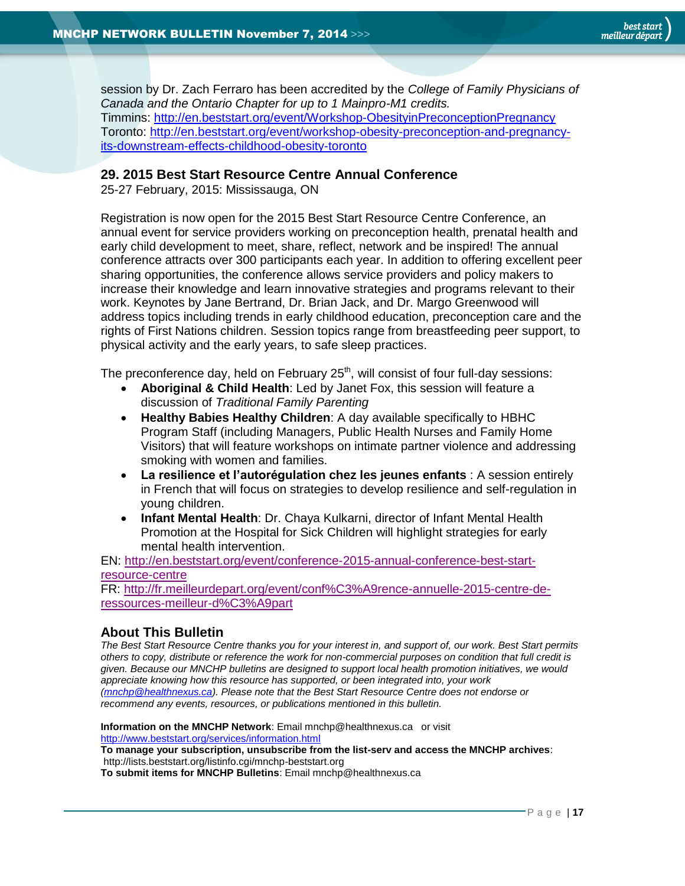session by Dr. Zach Ferraro has been accredited by the *College of Family Physicians of Canada and the Ontario Chapter for up to 1 Mainpro-M1 credits.* Timmins:<http://en.beststart.org/event/Workshop-ObesityinPreconceptionPregnancy> Toronto: [http://en.beststart.org/event/workshop-obesity-preconception-and-pregnancy](http://en.beststart.org/event/workshop-obesity-preconception-and-pregnancy-its-downstream-effects-childhood-obesity-toronto)[its-downstream-effects-childhood-obesity-toronto](http://en.beststart.org/event/workshop-obesity-preconception-and-pregnancy-its-downstream-effects-childhood-obesity-toronto)

#### <span id="page-16-1"></span>**29. 2015 Best Start Resource Centre Annual Conference**

25-27 February, 2015: Mississauga, ON

Registration is now open for the 2015 Best Start Resource Centre Conference, an annual event for service providers working on preconception health, prenatal health and early child development to meet, share, reflect, network and be inspired! The annual conference attracts over 300 participants each year. In addition to offering excellent peer sharing opportunities, the conference allows service providers and policy makers to increase their knowledge and learn innovative strategies and programs relevant to their work. Keynotes by Jane Bertrand, Dr. Brian Jack, and Dr. Margo Greenwood will address topics including trends in early childhood education, preconception care and the rights of First Nations children. Session topics range from breastfeeding peer support, to physical activity and the early years, to safe sleep practices.

The preconference day, held on February  $25<sup>th</sup>$ , will consist of four full-day sessions:

- **Aboriginal & Child Health**: Led by Janet Fox, this session will feature a discussion of *Traditional Family Parenting*
- **Healthy Babies Healthy Children**: A day available specifically to HBHC Program Staff (including Managers, Public Health Nurses and Family Home Visitors) that will feature workshops on intimate partner violence and addressing smoking with women and families.
- **La resilience et l'autorégulation chez les jeunes enfants** : A session entirely in French that will focus on strategies to develop resilience and self-regulation in young children.
- **Infant Mental Health**: Dr. Chaya Kulkarni, director of Infant Mental Health Promotion at the Hospital for Sick Children will highlight strategies for early mental health intervention.

EN: [http://en.beststart.org/event/conference-2015-annual-conference-best-start](http://en.beststart.org/event/conference-2015-annual-conference-best-start-resource-centre)[resource-centre](http://en.beststart.org/event/conference-2015-annual-conference-best-start-resource-centre)

FR: [http://fr.meilleurdepart.org/event/conf%C3%A9rence-annuelle-2015-centre-de](http://fr.meilleurdepart.org/event/conf%C3%A9rence-annuelle-2015-centre-de-ressources-meilleur-d%C3%A9part)[ressources-meilleur-d%C3%A9part](http://fr.meilleurdepart.org/event/conf%C3%A9rence-annuelle-2015-centre-de-ressources-meilleur-d%C3%A9part)

# <span id="page-16-0"></span>**About This Bulletin**

*The Best Start Resource Centre thanks you for your interest in, and support of, our work. Best Start permits others to copy, distribute or reference the work for non-commercial purposes on condition that full credit is given. Because our MNCHP bulletins are designed to support local health promotion initiatives, we would appreciate knowing how this resource has supported, or been integrated into, your work [\(mnchp@healthnexus.ca\)](mailto:mnchp@healthnexus.ca). Please note that the Best Start Resource Centre does not endorse or recommend any events, resources, or publications mentioned in this bulletin.* 

**Information on the MNCHP Network**: Email mnchp@healthnexus.ca or visit <http://www.beststart.org/services/information.html> **To manage your subscription, unsubscribe from the list-serv and access the MNCHP archives**: http://lists.beststart.org/listinfo.cgi/mnchp-beststart.org

**To submit items for MNCHP Bulletins**: Email mnchp@healthnexus.ca